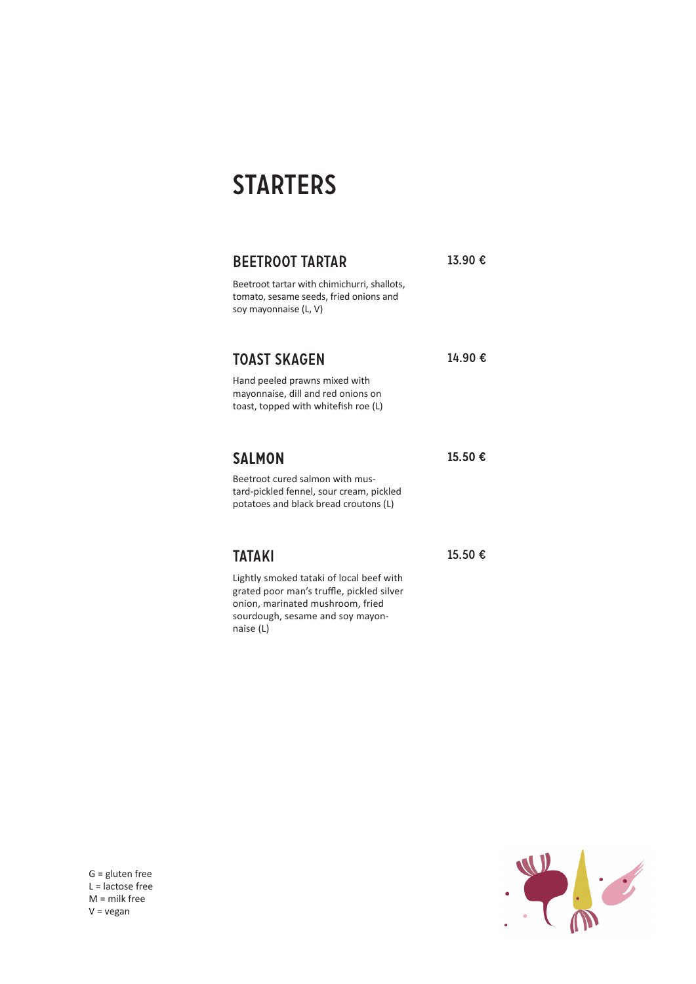# **STARTERS**

| <b>BEETROOT TARTAR</b>                                                                                                                                                     | 13.90 € |
|----------------------------------------------------------------------------------------------------------------------------------------------------------------------------|---------|
| Beetroot tartar with chimichurri, shallots,<br>tomato, sesame seeds, fried onions and<br>soy mayonnaise (L, V)                                                             |         |
| <b>TOAST SKAGEN</b>                                                                                                                                                        | 14.90€  |
| Hand peeled prawns mixed with<br>mayonnaise, dill and red onions on<br>toast, topped with whitefish roe (L)                                                                |         |
| <b>SALMON</b>                                                                                                                                                              | 15.50 € |
| Beetroot cured salmon with mus-<br>tard-pickled fennel, sour cream, pickled<br>potatoes and black bread croutons (L)                                                       |         |
| <b>TATAKI</b>                                                                                                                                                              | 15.50 € |
| Lightly smoked tataki of local beef with<br>grated poor man's truffle, pickled silver<br>onion, marinated mushroom, fried<br>sourdough, sesame and soy mayon-<br>naise (L) |         |

 $\ddot{\cdot}$ 

G = gluten free  $L =$  lactose free M = milk free V = vegan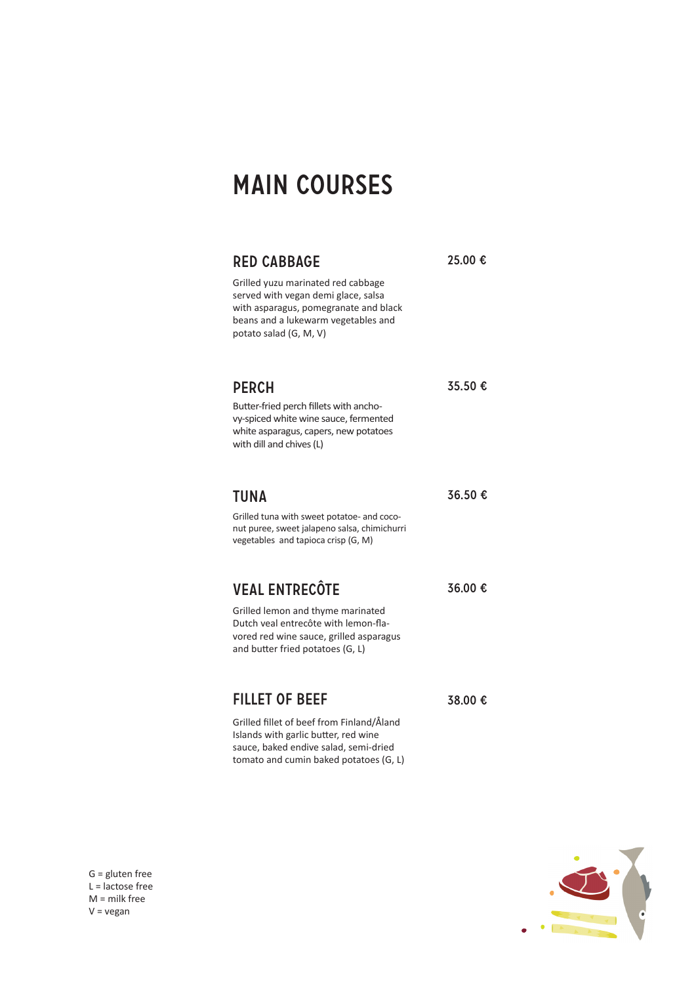# main courses

## RED CABBAGE 25.00 €

Grilled yuzu marinated red cabbage served with vegan demi glace, salsa with asparagus, pomegranate and black beans and a lukewarm vegetables and potato salad (G, M, V)

# **PERCH** 35.50 €

Butter-fried perch fillets with anchovy-spiced white wine sauce, fermented white asparagus, capers, new potatoes with dill and chives (L)

## **TUNA**

36.50 €

38.00 €

36.00 €

Grilled tuna with sweet potatoe- and coconut puree, sweet jalapeno salsa, chimichurri vegetables and tapioca crisp (G, M)

# veal entrecôte

Grilled lemon and thyme marinated Dutch veal entrecôte with lemon-flavored red wine sauce, grilled asparagus and butter fried potatoes (G, L)

# fillet of beef

Grilled fillet of beef from Finland/Åland Islands with garlic butter, red wine sauce, baked endive salad, semi-dried tomato and cumin baked potatoes (G, L)



G = gluten free L = lactose free M = milk free  $V = v$ egan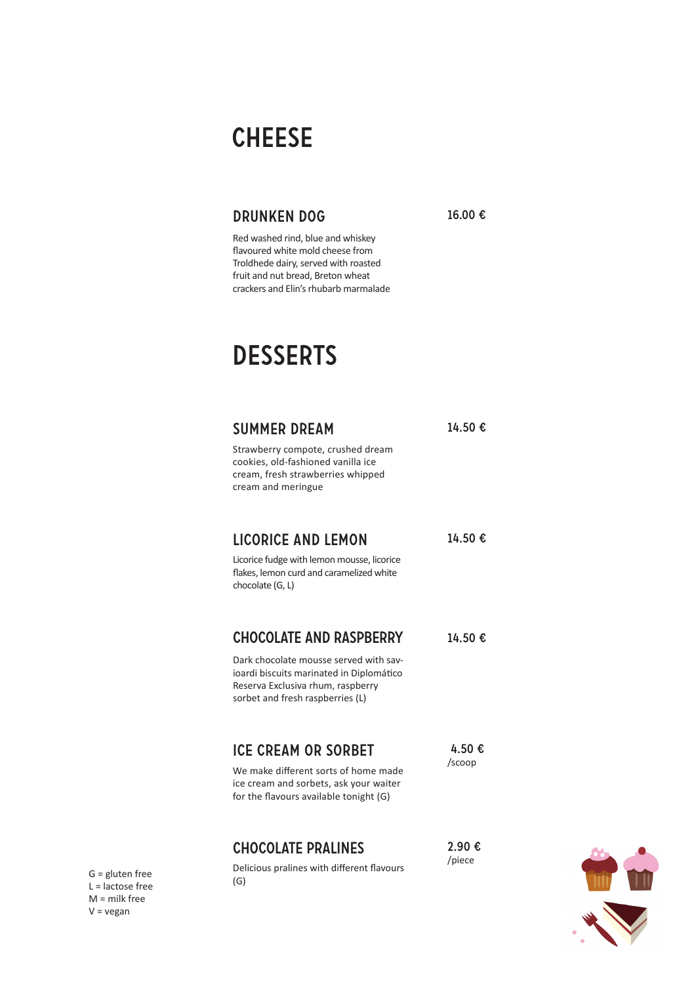# **CHEESE**

# drunken dog

Red washed rind, blue and whiskey flavoured white mold cheese from Troldhede dairy, served with roasted fruit and nut bread, Breton wheat crackers and Elin's rhubarb marmalade 16.00 €

# **DESSERTS**

| <b>SUMMER DREAM</b><br>Strawberry compote, crushed dream<br>cookies, old-fashioned vanilla ice<br>cream, fresh strawberries whipped<br>cream and meringue                                     | 14.50€           |
|-----------------------------------------------------------------------------------------------------------------------------------------------------------------------------------------------|------------------|
| <b>LICORICE AND LEMON</b><br>Licorice fudge with lemon mousse, licorice<br>flakes, lemon curd and caramelized white<br>chocolate (G, L)                                                       | 14.50€           |
| <b>CHOCOLATE AND RASPBERRY</b><br>Dark chocolate mousse served with sav-<br>ioardi biscuits marinated in Diplomático<br>Reserva Exclusiva rhum, raspberry<br>sorbet and fresh raspberries (L) | 14.50€           |
| <b>ICE CREAM OR SORBET</b><br>We make different sorts of home made<br>ice cream and sorbets, ask your waiter<br>for the flavours available tonight (G)                                        | 4.50 €<br>/scoop |
| <b>CHOCOLATE PRALINES</b><br>Delicious pralines with different flavours                                                                                                                       | 2.90 €<br>/piece |

G = gluten free L = lactose free M = milk free V = vegan

(G)